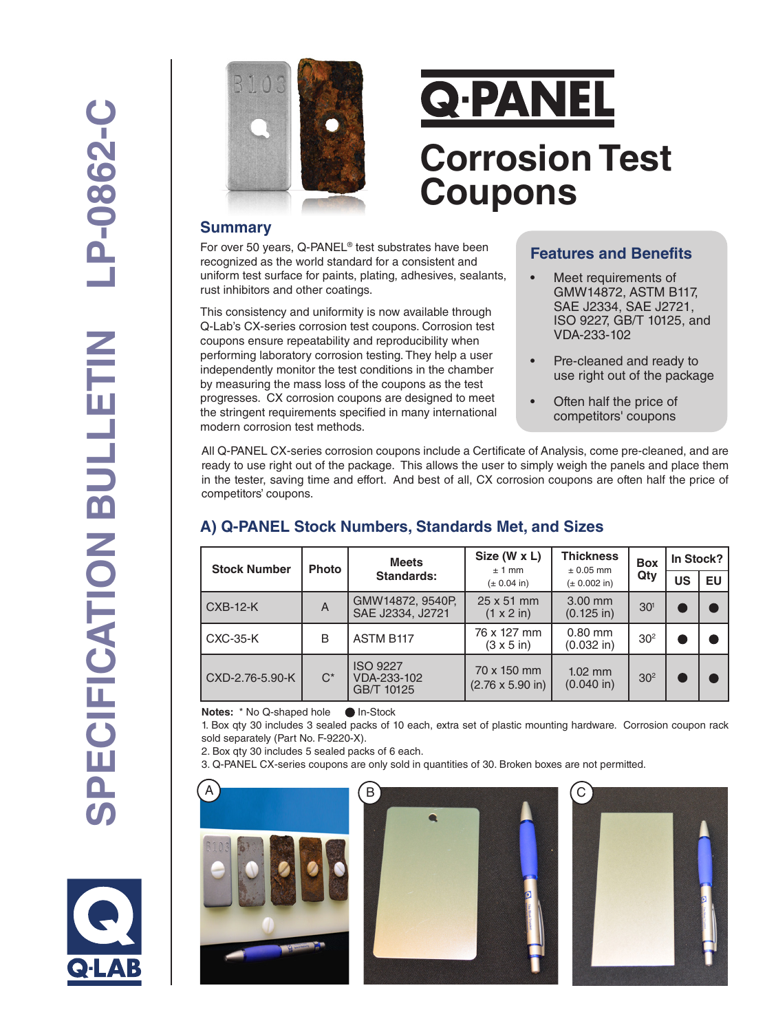

# **Q-PANEL Corrosion Test Coupons**

#### **Summary**

For over 50 years, Q-PANEL® test substrates have been recognized as the world standard for a consistent and uniform test surface for paints, plating, adhesives, sealants, rust inhibitors and other coatings.

This consistency and uniformity is now available through Q-Lab's CX-series corrosion test coupons. Corrosion test coupons ensure repeatability and reproducibility when performing laboratory corrosion testing. They help a user independently monitor the test conditions in the chamber by measuring the mass loss of the coupons as the test progresses. CX corrosion coupons are designed to meet the stringent requirements specified in many international modern corrosion test methods.

## **Features and Benefits**

- Meet requirements of GMW14872, ASTM B117, SAE J2334, SAE J2721, ISO 9227, GB/T 10125, and VDA-233-102
- Pre-cleaned and ready to use right out of the package
- Often half the price of competitors' coupons

All Q-PANEL CX-series corrosion coupons include a Certificate of Analysis, come pre-cleaned, and are ready to use right out of the package. This allows the user to simply weigh the panels and place them in the tester, saving time and effort. And best of all, CX corrosion coupons are often half the price of competitors' coupons.

# **A) Q-PANEL Stock Numbers, Standards Met, and Sizes**

| <b>Stock Number</b> | <b>Photo</b> | <b>Meets</b><br>Standards:                   | Size (W x L)<br>± 1 mm                         | <b>Thickness</b><br>$± 0.05$ mm | <b>Box</b><br>Qty | In Stock? |    |
|---------------------|--------------|----------------------------------------------|------------------------------------------------|---------------------------------|-------------------|-----------|----|
|                     |              |                                              | $(\pm 0.04)$ in)                               | $(\pm 0.002)$ in)               |                   | US        | EU |
| <b>CXB-12-K</b>     | A            | GMW14872, 9540P,<br>SAE J2334, J2721         | 25 x 51 mm<br>$(1 \times 2 \text{ in})$        | 3.00 mm<br>$(0.125$ in)         | 30 <sup>1</sup>   |           |    |
| <b>CXC-35-K</b>     | B            | <b>ASTM B117</b>                             | 76 x 127 mm<br>$(3 \times 5)$ in)              | $0.80$ mm<br>$(0.032$ in)       | 30 <sup>2</sup>   |           |    |
| CXD-2.76-5.90-K     | $C^*$        | <b>ISO 9227</b><br>VDA-233-102<br>GB/T 10125 | 70 x 150 mm<br>$(2.76 \times 5.90 \text{ in})$ | $1.02$ mm<br>$(0.040)$ in)      | 30 <sup>2</sup>   |           |    |

**Notes:** \* No Q-shaped holeIn-Stock

1. Box qty 30 includes 3 sealed packs of 10 each, extra set of plastic mounting hardware. Corrosion coupon rack sold separately (Part No. F-9220-X).

2. Box qty 30 includes 5 sealed packs of 6 each.

3. Q-PANEL CX-series coupons are only sold in quantities of 30. Broken boxes are not permitted.